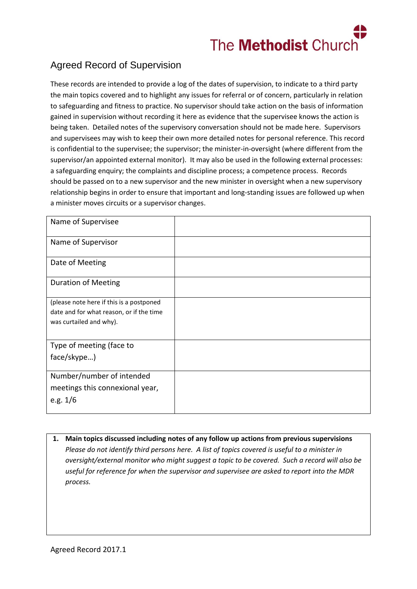

## Agreed Record of Supervision

These records are intended to provide a log of the dates of supervision, to indicate to a third party the main topics covered and to highlight any issues for referral or of concern, particularly in relation to safeguarding and fitness to practice. No supervisor should take action on the basis of information gained in supervision without recording it here as evidence that the supervisee knows the action is being taken. Detailed notes of the supervisory conversation should not be made here. Supervisors and supervisees may wish to keep their own more detailed notes for personal reference. This record is confidential to the supervisee; the supervisor; the minister-in-oversight (where different from the supervisor/an appointed external monitor). It may also be used in the following external processes: a safeguarding enquiry; the complaints and discipline process; a competence process. Records should be passed on to a new supervisor and the new minister in oversight when a new supervisory relationship begins in order to ensure that important and long-standing issues are followed up when a minister moves circuits or a supervisor changes.

| Name of Supervisee                       |  |
|------------------------------------------|--|
| Name of Supervisor                       |  |
| Date of Meeting                          |  |
| <b>Duration of Meeting</b>               |  |
| (please note here if this is a postponed |  |
| date and for what reason, or if the time |  |
| was curtailed and why).                  |  |
| Type of meeting (face to                 |  |
| face/skype)                              |  |
| Number/number of intended                |  |
| meetings this connexional year,          |  |
| e.g. $1/6$                               |  |

**1. Main topics discussed including notes of any follow up actions from previous supervisions** *Please do not identify third persons here. A list of topics covered is useful to a minister in oversight/external monitor who might suggest a topic to be covered. Such a record will also be useful for reference for when the supervisor and supervisee are asked to report into the MDR process.*